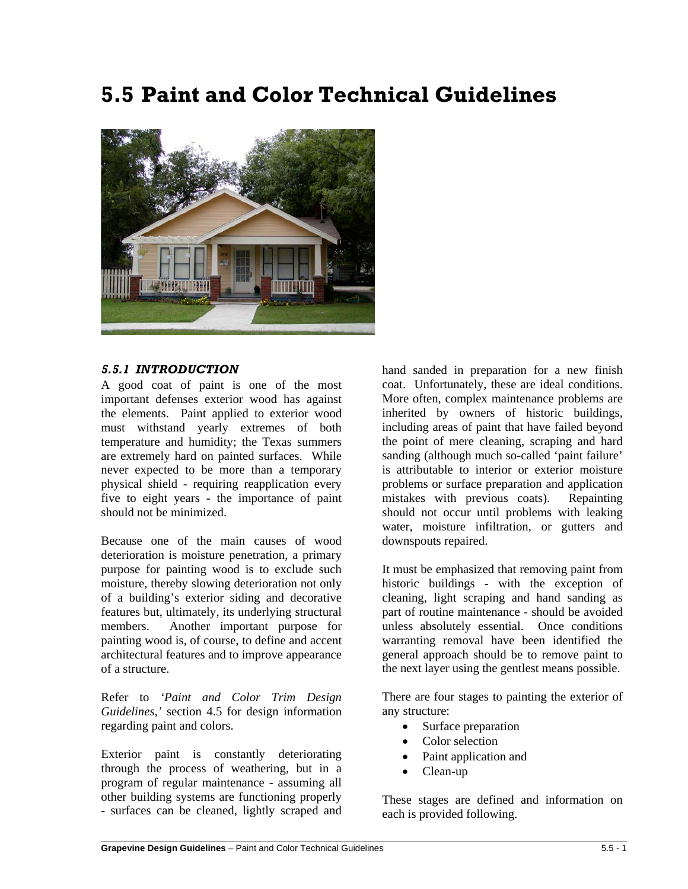# **5.5 Paint and Color Technical Guidelines**



#### *5.5.1 INTRODUCTION*

A good coat of paint is one of the most important defenses exterior wood has against the elements. Paint applied to exterior wood must withstand yearly extremes of both temperature and humidity; the Texas summers are extremely hard on painted surfaces. While never expected to be more than a temporary physical shield - requiring reapplication every five to eight years - the importance of paint should not be minimized.

Because one of the main causes of wood deterioration is moisture penetration, a primary purpose for painting wood is to exclude such moisture, thereby slowing deterioration not only of a building's exterior siding and decorative features but, ultimately, its underlying structural members. Another important purpose for painting wood is, of course, to define and accent architectural features and to improve appearance of a structure.

Refer to *'Paint and Color Trim Design Guidelines,'* section 4.5 for design information regarding paint and colors.

Exterior paint is constantly deteriorating through the process of weathering, but in a program of regular maintenance - assuming all other building systems are functioning properly - surfaces can be cleaned, lightly scraped and

 $\overline{a}$ 

hand sanded in preparation for a new finish coat. Unfortunately, these are ideal conditions. More often, complex maintenance problems are inherited by owners of historic buildings, including areas of paint that have failed beyond the point of mere cleaning, scraping and hard sanding (although much so-called 'paint failure' is attributable to interior or exterior moisture problems or surface preparation and application mistakes with previous coats). Repainting should not occur until problems with leaking water, moisture infiltration, or gutters and downspouts repaired.

It must be emphasized that removing paint from historic buildings - with the exception of cleaning, light scraping and hand sanding as part of routine maintenance - should be avoided unless absolutely essential. Once conditions warranting removal have been identified the general approach should be to remove paint to the next layer using the gentlest means possible.

There are four stages to painting the exterior of any structure:

- Surface preparation
- Color selection
- Paint application and
- Clean-up

These stages are defined and information on each is provided following.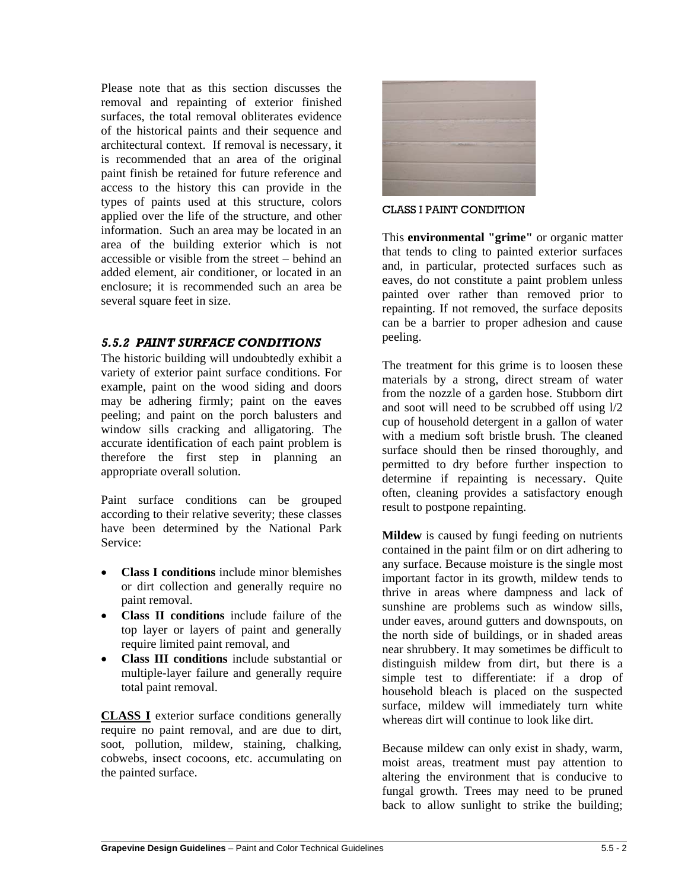Please note that as this section discusses the removal and repainting of exterior finished surfaces, the total removal obliterates evidence of the historical paints and their sequence and architectural context. If removal is necessary, it is recommended that an area of the original paint finish be retained for future reference and access to the history this can provide in the types of paints used at this structure, colors applied over the life of the structure, and other information. Such an area may be located in an area of the building exterior which is not accessible or visible from the street – behind an added element, air conditioner, or located in an enclosure; it is recommended such an area be several square feet in size.

#### *5.5.2 PAINT SURFACE CONDITIONS*

The historic building will undoubtedly exhibit a variety of exterior paint surface conditions. For example, paint on the wood siding and doors may be adhering firmly; paint on the eaves peeling; and paint on the porch balusters and window sills cracking and alligatoring. The accurate identification of each paint problem is therefore the first step in planning an appropriate overall solution.

Paint surface conditions can be grouped according to their relative severity; these classes have been determined by the National Park Service:

- **Class I conditions** include minor blemishes or dirt collection and generally require no paint removal.
- **Class II conditions** include failure of the top layer or layers of paint and generally require limited paint removal, and
- **Class III conditions** include substantial or multiple-layer failure and generally require total paint removal.

**CLASS I** exterior surface conditions generally require no paint removal, and are due to dirt, soot, pollution, mildew, staining, chalking, cobwebs, insect cocoons, etc. accumulating on the painted surface.

 $\overline{a}$ 



#### CLASS I PAINT CONDITION

This **environmental "grime"** or organic matter that tends to cling to painted exterior surfaces and, in particular, protected surfaces such as eaves, do not constitute a paint problem unless painted over rather than removed prior to repainting. If not removed, the surface deposits can be a barrier to proper adhesion and cause peeling.

The treatment for this grime is to loosen these materials by a strong, direct stream of water from the nozzle of a garden hose. Stubborn dirt and soot will need to be scrubbed off using l/2 cup of household detergent in a gallon of water with a medium soft bristle brush. The cleaned surface should then be rinsed thoroughly, and permitted to dry before further inspection to determine if repainting is necessary. Quite often, cleaning provides a satisfactory enough result to postpone repainting.

**Mildew** is caused by fungi feeding on nutrients contained in the paint film or on dirt adhering to any surface. Because moisture is the single most important factor in its growth, mildew tends to thrive in areas where dampness and lack of sunshine are problems such as window sills, under eaves, around gutters and downspouts, on the north side of buildings, or in shaded areas near shrubbery. It may sometimes be difficult to distinguish mildew from dirt, but there is a simple test to differentiate: if a drop of household bleach is placed on the suspected surface, mildew will immediately turn white whereas dirt will continue to look like dirt.

Because mildew can only exist in shady, warm, moist areas, treatment must pay attention to altering the environment that is conducive to fungal growth. Trees may need to be pruned back to allow sunlight to strike the building;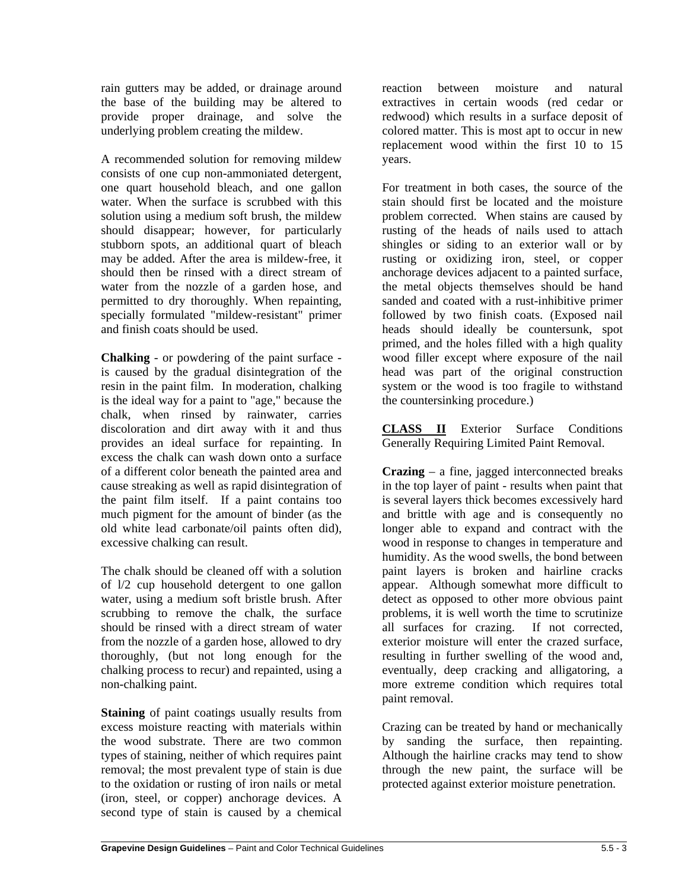rain gutters may be added, or drainage around the base of the building may be altered to provide proper drainage, and solve the underlying problem creating the mildew.

A recommended solution for removing mildew consists of one cup non-ammoniated detergent, one quart household bleach, and one gallon water. When the surface is scrubbed with this solution using a medium soft brush, the mildew should disappear; however, for particularly stubborn spots, an additional quart of bleach may be added. After the area is mildew-free, it should then be rinsed with a direct stream of water from the nozzle of a garden hose, and permitted to dry thoroughly. When repainting, specially formulated "mildew-resistant" primer and finish coats should be used.

**Chalking** - or powdering of the paint surface is caused by the gradual disintegration of the resin in the paint film. In moderation, chalking is the ideal way for a paint to "age," because the chalk, when rinsed by rainwater, carries discoloration and dirt away with it and thus provides an ideal surface for repainting. In excess the chalk can wash down onto a surface of a different color beneath the painted area and cause streaking as well as rapid disintegration of the paint film itself. If a paint contains too much pigment for the amount of binder (as the old white lead carbonate/oil paints often did), excessive chalking can result.

The chalk should be cleaned off with a solution of l/2 cup household detergent to one gallon water, using a medium soft bristle brush. After scrubbing to remove the chalk, the surface should be rinsed with a direct stream of water from the nozzle of a garden hose, allowed to dry thoroughly, (but not long enough for the chalking process to recur) and repainted, using a non-chalking paint.

**Staining** of paint coatings usually results from excess moisture reacting with materials within the wood substrate. There are two common types of staining, neither of which requires paint removal; the most prevalent type of stain is due to the oxidation or rusting of iron nails or metal (iron, steel, or copper) anchorage devices. A second type of stain is caused by a chemical reaction between moisture and natural extractives in certain woods (red cedar or redwood) which results in a surface deposit of colored matter. This is most apt to occur in new replacement wood within the first 10 to 15 years.

For treatment in both cases, the source of the stain should first be located and the moisture problem corrected. When stains are caused by rusting of the heads of nails used to attach shingles or siding to an exterior wall or by rusting or oxidizing iron, steel, or copper anchorage devices adjacent to a painted surface, the metal objects themselves should be hand sanded and coated with a rust-inhibitive primer followed by two finish coats. (Exposed nail heads should ideally be countersunk, spot primed, and the holes filled with a high quality wood filler except where exposure of the nail head was part of the original construction system or the wood is too fragile to withstand the countersinking procedure.)

**CLASS II** Exterior Surface Conditions Generally Requiring Limited Paint Removal.

**Crazing** – a fine, jagged interconnected breaks in the top layer of paint - results when paint that is several layers thick becomes excessively hard and brittle with age and is consequently no longer able to expand and contract with the wood in response to changes in temperature and humidity. As the wood swells, the bond between paint layers is broken and hairline cracks appear. Although somewhat more difficult to detect as opposed to other more obvious paint problems, it is well worth the time to scrutinize all surfaces for crazing. If not corrected, exterior moisture will enter the crazed surface, resulting in further swelling of the wood and, eventually, deep cracking and alligatoring, a more extreme condition which requires total paint removal.

Crazing can be treated by hand or mechanically by sanding the surface, then repainting. Although the hairline cracks may tend to show through the new paint, the surface will be protected against exterior moisture penetration.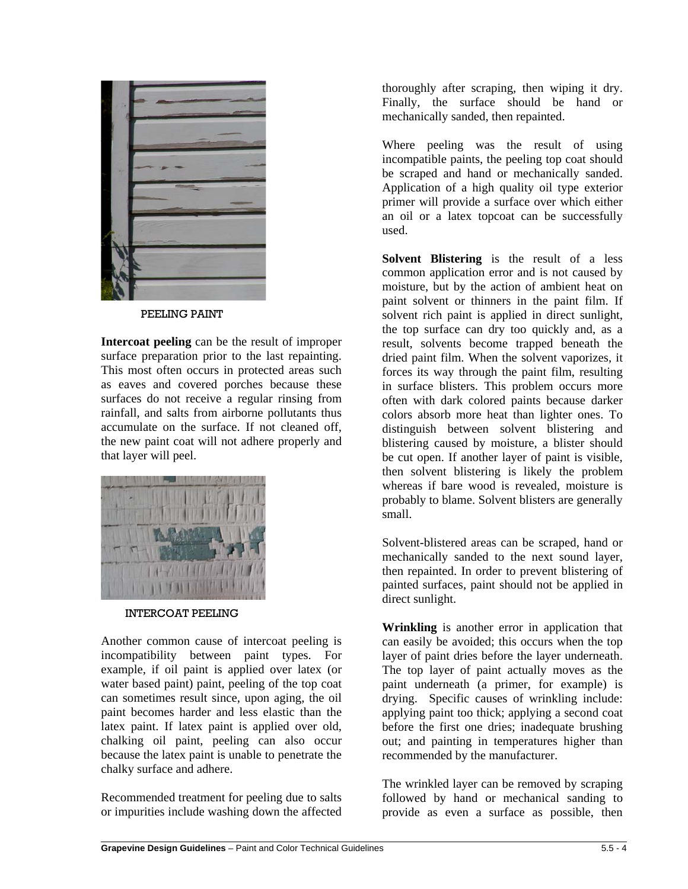

PEELING PAINT

**Intercoat peeling** can be the result of improper surface preparation prior to the last repainting. This most often occurs in protected areas such as eaves and covered porches because these surfaces do not receive a regular rinsing from rainfall, and salts from airborne pollutants thus accumulate on the surface. If not cleaned off, the new paint coat will not adhere properly and that layer will peel.



INTERCOAT PEELING

Another common cause of intercoat peeling is incompatibility between paint types. For example, if oil paint is applied over latex (or water based paint) paint, peeling of the top coat can sometimes result since, upon aging, the oil paint becomes harder and less elastic than the latex paint. If latex paint is applied over old, chalking oil paint, peeling can also occur because the latex paint is unable to penetrate the chalky surface and adhere.

Recommended treatment for peeling due to salts or impurities include washing down the affected thoroughly after scraping, then wiping it dry. Finally, the surface should be hand or mechanically sanded, then repainted.

Where peeling was the result of using incompatible paints, the peeling top coat should be scraped and hand or mechanically sanded. Application of a high quality oil type exterior primer will provide a surface over which either an oil or a latex topcoat can be successfully used.

**Solvent Blistering** is the result of a less common application error and is not caused by moisture, but by the action of ambient heat on paint solvent or thinners in the paint film. If solvent rich paint is applied in direct sunlight, the top surface can dry too quickly and, as a result, solvents become trapped beneath the dried paint film. When the solvent vaporizes, it forces its way through the paint film, resulting in surface blisters. This problem occurs more often with dark colored paints because darker colors absorb more heat than lighter ones. To distinguish between solvent blistering and blistering caused by moisture, a blister should be cut open. If another layer of paint is visible, then solvent blistering is likely the problem whereas if bare wood is revealed, moisture is probably to blame. Solvent blisters are generally small.

Solvent-blistered areas can be scraped, hand or mechanically sanded to the next sound layer, then repainted. In order to prevent blistering of painted surfaces, paint should not be applied in direct sunlight.

**Wrinkling** is another error in application that can easily be avoided; this occurs when the top layer of paint dries before the layer underneath. The top layer of paint actually moves as the paint underneath (a primer, for example) is drying. Specific causes of wrinkling include: applying paint too thick; applying a second coat before the first one dries; inadequate brushing out; and painting in temperatures higher than recommended by the manufacturer.

The wrinkled layer can be removed by scraping followed by hand or mechanical sanding to provide as even a surface as possible, then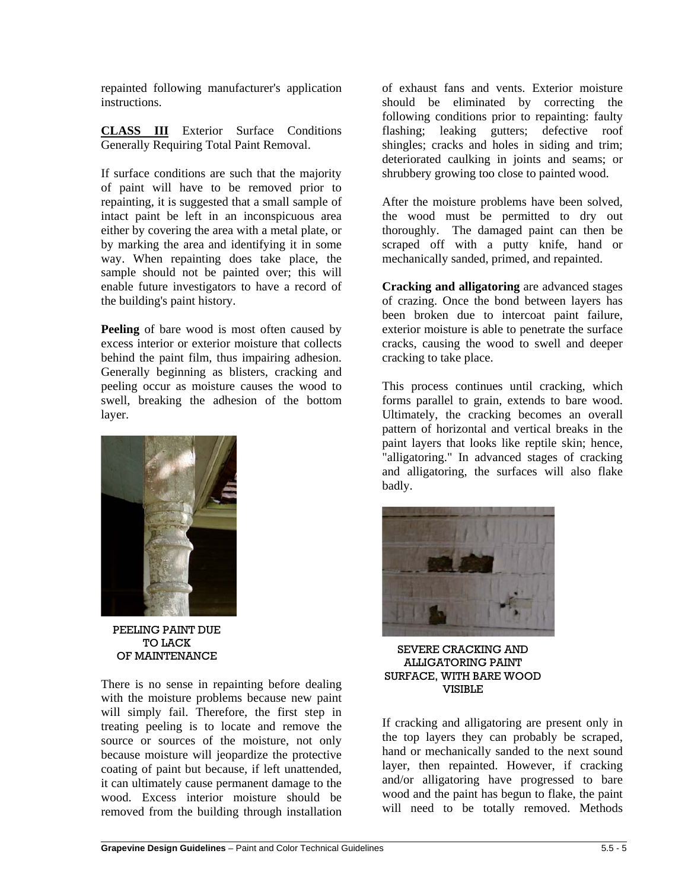repainted following manufacturer's application instructions.

**CLASS III** Exterior Surface Conditions Generally Requiring Total Paint Removal.

If surface conditions are such that the majority of paint will have to be removed prior to repainting, it is suggested that a small sample of intact paint be left in an inconspicuous area either by covering the area with a metal plate, or by marking the area and identifying it in some way. When repainting does take place, the sample should not be painted over; this will enable future investigators to have a record of the building's paint history.

**Peeling** of bare wood is most often caused by excess interior or exterior moisture that collects behind the paint film, thus impairing adhesion. Generally beginning as blisters, cracking and peeling occur as moisture causes the wood to swell, breaking the adhesion of the bottom layer.



PEELING PAINT DUE TO LACK OF MAINTENANCE

 $\overline{a}$ 

There is no sense in repainting before dealing with the moisture problems because new paint will simply fail. Therefore, the first step in treating peeling is to locate and remove the source or sources of the moisture, not only because moisture will jeopardize the protective coating of paint but because, if left unattended, it can ultimately cause permanent damage to the wood. Excess interior moisture should be removed from the building through installation

of exhaust fans and vents. Exterior moisture should be eliminated by correcting the following conditions prior to repainting: faulty flashing; leaking gutters; defective roof shingles; cracks and holes in siding and trim; deteriorated caulking in joints and seams; or shrubbery growing too close to painted wood.

After the moisture problems have been solved, the wood must be permitted to dry out thoroughly. The damaged paint can then be scraped off with a putty knife, hand or mechanically sanded, primed, and repainted.

**Cracking and alligatoring** are advanced stages of crazing. Once the bond between layers has been broken due to intercoat paint failure, exterior moisture is able to penetrate the surface cracks, causing the wood to swell and deeper cracking to take place.

This process continues until cracking, which forms parallel to grain, extends to bare wood. Ultimately, the cracking becomes an overall pattern of horizontal and vertical breaks in the paint layers that looks like reptile skin; hence, "alligatoring." In advanced stages of cracking and alligatoring, the surfaces will also flake badly.



SEVERE CRACKING AND ALLIGATORING PAINT SURFACE, WITH BARE WOOD VISIBLE

If cracking and alligatoring are present only in the top layers they can probably be scraped, hand or mechanically sanded to the next sound layer, then repainted. However, if cracking and/or alligatoring have progressed to bare wood and the paint has begun to flake, the paint will need to be totally removed. Methods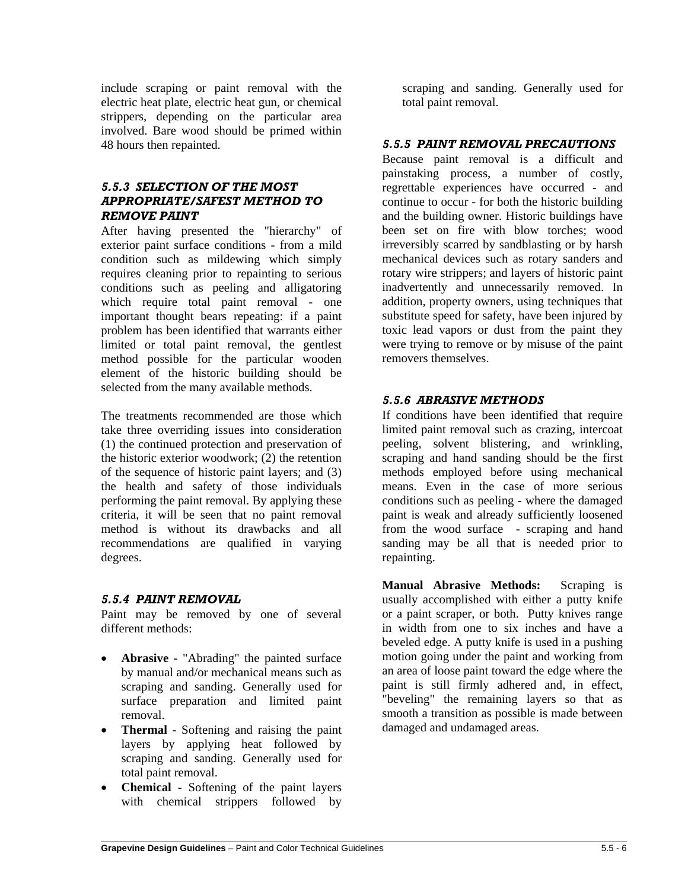include scraping or paint removal with the electric heat plate, electric heat gun, or chemical strippers, depending on the particular area involved. Bare wood should be primed within 48 hours then repainted.

#### *5.5.3 SELECTION OF THE MOST APPROPRIATE/SAFEST METHOD TO REMOVE PAINT*

After having presented the "hierarchy" of exterior paint surface conditions - from a mild condition such as mildewing which simply requires cleaning prior to repainting to serious conditions such as peeling and alligatoring which require total paint removal - one important thought bears repeating: if a paint problem has been identified that warrants either limited or total paint removal, the gentlest method possible for the particular wooden element of the historic building should be selected from the many available methods.

The treatments recommended are those which take three overriding issues into consideration (1) the continued protection and preservation of the historic exterior woodwork; (2) the retention of the sequence of historic paint layers; and (3) the health and safety of those individuals performing the paint removal. By applying these criteria, it will be seen that no paint removal method is without its drawbacks and all recommendations are qualified in varying degrees.

## *5.5.4 PAINT REMOVAL*

 $\overline{a}$ 

Paint may be removed by one of several different methods:

- **Abrasive**  "Abrading" the painted surface by manual and/or mechanical means such as scraping and sanding. Generally used for surface preparation and limited paint removal.
- **Thermal -** Softening and raising the paint layers by applying heat followed by scraping and sanding. Generally used for total paint removal.
- **Chemical** Softening of the paint layers with chemical strippers followed by

scraping and sanding. Generally used for total paint removal.

## *5.5.5 PAINT REMOVAL PRECAUTIONS*

Because paint removal is a difficult and painstaking process, a number of costly, regrettable experiences have occurred - and continue to occur - for both the historic building and the building owner. Historic buildings have been set on fire with blow torches; wood irreversibly scarred by sandblasting or by harsh mechanical devices such as rotary sanders and rotary wire strippers; and layers of historic paint inadvertently and unnecessarily removed. In addition, property owners, using techniques that substitute speed for safety, have been injured by toxic lead vapors or dust from the paint they were trying to remove or by misuse of the paint removers themselves.

#### *5.5.6 ABRASIVE METHODS*

If conditions have been identified that require limited paint removal such as crazing, intercoat peeling, solvent blistering, and wrinkling, scraping and hand sanding should be the first methods employed before using mechanical means. Even in the case of more serious conditions such as peeling - where the damaged paint is weak and already sufficiently loosened from the wood surface - scraping and hand sanding may be all that is needed prior to repainting.

**Manual Abrasive Methods:** Scraping is usually accomplished with either a putty knife or a paint scraper, or both. Putty knives range in width from one to six inches and have a beveled edge. A putty knife is used in a pushing motion going under the paint and working from an area of loose paint toward the edge where the paint is still firmly adhered and, in effect, "beveling" the remaining layers so that as smooth a transition as possible is made between damaged and undamaged areas.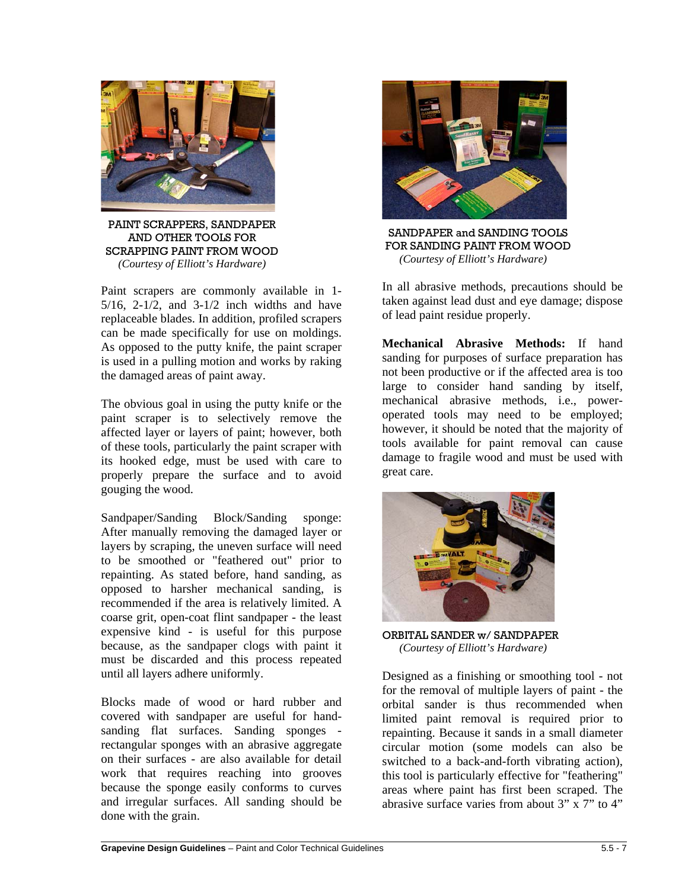

PAINT SCRAPPERS, SANDPAPER AND OTHER TOOLS FOR SCRAPPING PAINT FROM WOOD *(Courtesy of Elliott's Hardware)*

Paint scrapers are commonly available in 1-  $5/16$ ,  $2-1/2$ , and  $3-1/2$  inch widths and have replaceable blades. In addition, profiled scrapers can be made specifically for use on moldings. As opposed to the putty knife, the paint scraper is used in a pulling motion and works by raking the damaged areas of paint away.

The obvious goal in using the putty knife or the paint scraper is to selectively remove the affected layer or layers of paint; however, both of these tools, particularly the paint scraper with its hooked edge, must be used with care to properly prepare the surface and to avoid gouging the wood.

Sandpaper/Sanding Block/Sanding sponge: After manually removing the damaged layer or layers by scraping, the uneven surface will need to be smoothed or "feathered out" prior to repainting. As stated before, hand sanding, as opposed to harsher mechanical sanding, is recommended if the area is relatively limited. A coarse grit, open-coat flint sandpaper - the least expensive kind - is useful for this purpose because, as the sandpaper clogs with paint it must be discarded and this process repeated until all layers adhere uniformly.

Blocks made of wood or hard rubber and covered with sandpaper are useful for handsanding flat surfaces. Sanding sponges rectangular sponges with an abrasive aggregate on their surfaces - are also available for detail work that requires reaching into grooves because the sponge easily conforms to curves and irregular surfaces. All sanding should be done with the grain.



SANDPAPER and SANDING TOOLS FOR SANDING PAINT FROM WOOD *(Courtesy of Elliott's Hardware)*

In all abrasive methods, precautions should be taken against lead dust and eye damage; dispose of lead paint residue properly.

**Mechanical Abrasive Methods:** If hand sanding for purposes of surface preparation has not been productive or if the affected area is too large to consider hand sanding by itself, mechanical abrasive methods, i.e., poweroperated tools may need to be employed; however, it should be noted that the majority of tools available for paint removal can cause damage to fragile wood and must be used with great care.



ORBITAL SANDER w/ SANDPAPER *(Courtesy of Elliott's Hardware)*

Designed as a finishing or smoothing tool - not for the removal of multiple layers of paint - the orbital sander is thus recommended when limited paint removal is required prior to repainting. Because it sands in a small diameter circular motion (some models can also be switched to a back-and-forth vibrating action), this tool is particularly effective for "feathering" areas where paint has first been scraped. The abrasive surface varies from about  $3'' \times 7''$  to  $4''$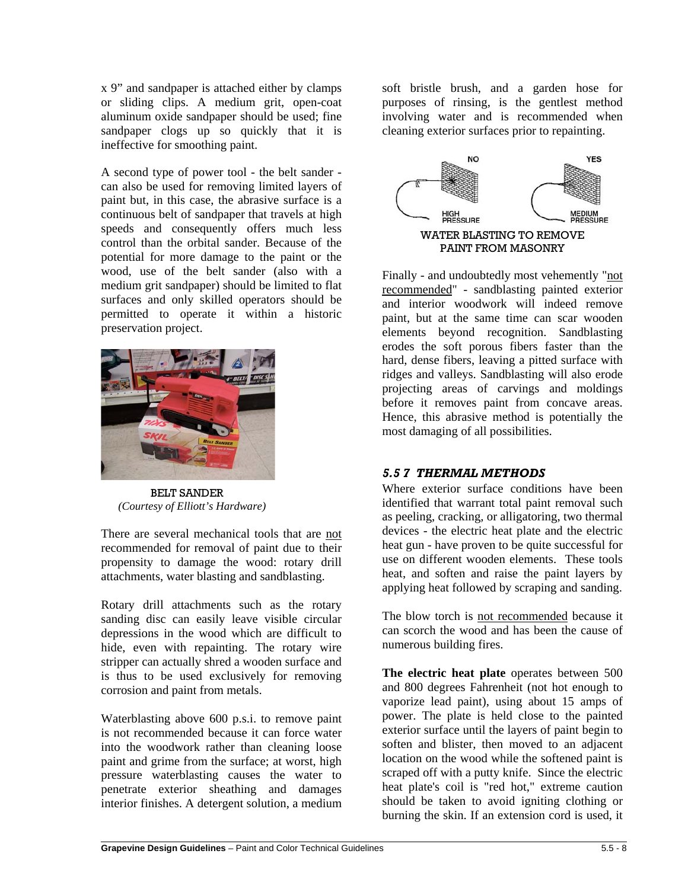x 9" and sandpaper is attached either by clamps or sliding clips. A medium grit, open-coat aluminum oxide sandpaper should be used; fine sandpaper clogs up so quickly that it is ineffective for smoothing paint.

A second type of power tool - the belt sander can also be used for removing limited layers of paint but, in this case, the abrasive surface is a continuous belt of sandpaper that travels at high speeds and consequently offers much less control than the orbital sander. Because of the potential for more damage to the paint or the wood, use of the belt sander (also with a medium grit sandpaper) should be limited to flat surfaces and only skilled operators should be permitted to operate it within a historic preservation project.



BELT SANDER *(Courtesy of Elliott's Hardware)*

There are several mechanical tools that are not recommended for removal of paint due to their propensity to damage the wood: rotary drill attachments, water blasting and sandblasting.

Rotary drill attachments such as the rotary sanding disc can easily leave visible circular depressions in the wood which are difficult to hide, even with repainting. The rotary wire stripper can actually shred a wooden surface and is thus to be used exclusively for removing corrosion and paint from metals.

Waterblasting above 600 p.s.i. to remove paint is not recommended because it can force water into the woodwork rather than cleaning loose paint and grime from the surface; at worst, high pressure waterblasting causes the water to penetrate exterior sheathing and damages interior finishes. A detergent solution, a medium

 $\overline{a}$ 

soft bristle brush, and a garden hose for purposes of rinsing, is the gentlest method involving water and is recommended when cleaning exterior surfaces prior to repainting.



Finally - and undoubtedly most vehemently "not recommended" - sandblasting painted exterior and interior woodwork will indeed remove paint, but at the same time can scar wooden elements beyond recognition. Sandblasting erodes the soft porous fibers faster than the hard, dense fibers, leaving a pitted surface with ridges and valleys. Sandblasting will also erode projecting areas of carvings and moldings before it removes paint from concave areas. Hence, this abrasive method is potentially the most damaging of all possibilities.

## *5.5 7 THERMAL METHODS*

Where exterior surface conditions have been identified that warrant total paint removal such as peeling, cracking, or alligatoring, two thermal devices - the electric heat plate and the electric heat gun - have proven to be quite successful for use on different wooden elements. These tools heat, and soften and raise the paint layers by applying heat followed by scraping and sanding.

The blow torch is not recommended because it can scorch the wood and has been the cause of numerous building fires.

**The electric heat plate** operates between 500 and 800 degrees Fahrenheit (not hot enough to vaporize lead paint), using about 15 amps of power. The plate is held close to the painted exterior surface until the layers of paint begin to soften and blister, then moved to an adjacent location on the wood while the softened paint is scraped off with a putty knife. Since the electric heat plate's coil is "red hot," extreme caution should be taken to avoid igniting clothing or burning the skin. If an extension cord is used, it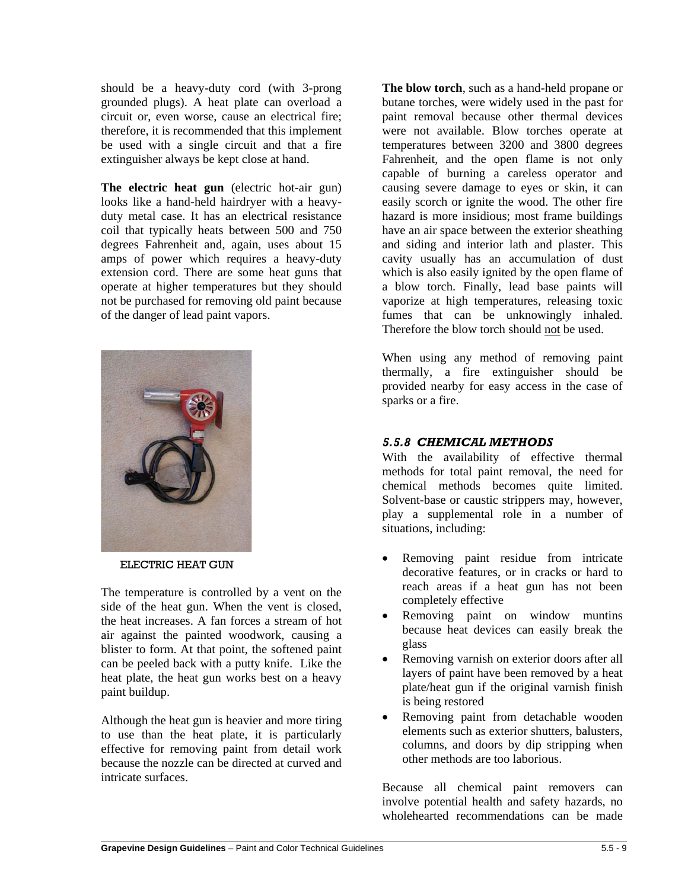should be a heavy-duty cord (with 3-prong grounded plugs). A heat plate can overload a circuit or, even worse, cause an electrical fire; therefore, it is recommended that this implement be used with a single circuit and that a fire extinguisher always be kept close at hand.

**The electric heat gun** (electric hot-air gun) looks like a hand-held hairdryer with a heavyduty metal case. It has an electrical resistance coil that typically heats between 500 and 750 degrees Fahrenheit and, again, uses about 15 amps of power which requires a heavy-duty extension cord. There are some heat guns that operate at higher temperatures but they should not be purchased for removing old paint because of the danger of lead paint vapors.



ELECTRIC HEAT GUN

The temperature is controlled by a vent on the side of the heat gun. When the vent is closed, the heat increases. A fan forces a stream of hot air against the painted woodwork, causing a blister to form. At that point, the softened paint can be peeled back with a putty knife. Like the heat plate, the heat gun works best on a heavy paint buildup.

Although the heat gun is heavier and more tiring to use than the heat plate, it is particularly effective for removing paint from detail work because the nozzle can be directed at curved and intricate surfaces.

**The blow torch**, such as a hand-held propane or butane torches, were widely used in the past for paint removal because other thermal devices were not available. Blow torches operate at temperatures between 3200 and 3800 degrees Fahrenheit, and the open flame is not only capable of burning a careless operator and causing severe damage to eyes or skin, it can easily scorch or ignite the wood. The other fire hazard is more insidious; most frame buildings have an air space between the exterior sheathing and siding and interior lath and plaster. This cavity usually has an accumulation of dust which is also easily ignited by the open flame of a blow torch. Finally, lead base paints will vaporize at high temperatures, releasing toxic fumes that can be unknowingly inhaled. Therefore the blow torch should not be used.

When using any method of removing paint thermally, a fire extinguisher should be provided nearby for easy access in the case of sparks or a fire.

# *5.5.8 CHEMICAL METHODS*

With the availability of effective thermal methods for total paint removal, the need for chemical methods becomes quite limited. Solvent-base or caustic strippers may, however, play a supplemental role in a number of situations, including:

- Removing paint residue from intricate decorative features, or in cracks or hard to reach areas if a heat gun has not been completely effective
- Removing paint on window muntins because heat devices can easily break the glass
- Removing varnish on exterior doors after all layers of paint have been removed by a heat plate/heat gun if the original varnish finish is being restored
- Removing paint from detachable wooden elements such as exterior shutters, balusters, columns, and doors by dip stripping when other methods are too laborious.

Because all chemical paint removers can involve potential health and safety hazards, no wholehearted recommendations can be made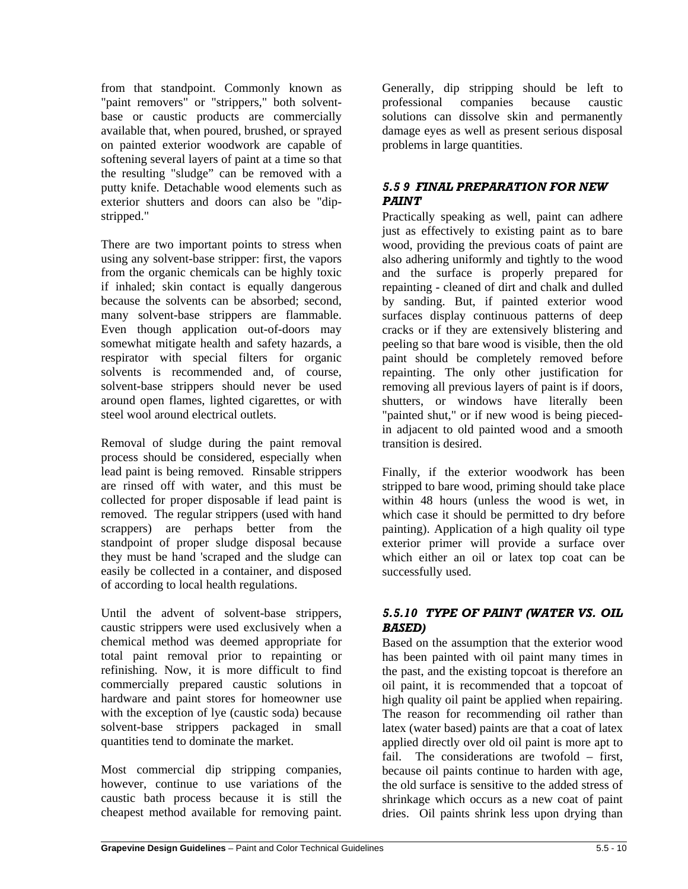from that standpoint. Commonly known as "paint removers" or "strippers," both solventbase or caustic products are commercially available that, when poured, brushed, or sprayed on painted exterior woodwork are capable of softening several layers of paint at a time so that the resulting "sludge" can be removed with a putty knife. Detachable wood elements such as exterior shutters and doors can also be "dipstripped."

There are two important points to stress when using any solvent-base stripper: first, the vapors from the organic chemicals can be highly toxic if inhaled; skin contact is equally dangerous because the solvents can be absorbed; second, many solvent-base strippers are flammable. Even though application out-of-doors may somewhat mitigate health and safety hazards, a respirator with special filters for organic solvents is recommended and, of course, solvent-base strippers should never be used around open flames, lighted cigarettes, or with steel wool around electrical outlets.

Removal of sludge during the paint removal process should be considered, especially when lead paint is being removed. Rinsable strippers are rinsed off with water, and this must be collected for proper disposable if lead paint is removed. The regular strippers (used with hand scrappers) are perhaps better from the standpoint of proper sludge disposal because they must be hand 'scraped and the sludge can easily be collected in a container, and disposed of according to local health regulations.

Until the advent of solvent-base strippers, caustic strippers were used exclusively when a chemical method was deemed appropriate for total paint removal prior to repainting or refinishing. Now, it is more difficult to find commercially prepared caustic solutions in hardware and paint stores for homeowner use with the exception of lye (caustic soda) because solvent-base strippers packaged in small quantities tend to dominate the market.

Most commercial dip stripping companies, however, continue to use variations of the caustic bath process because it is still the cheapest method available for removing paint.

Generally, dip stripping should be left to professional companies because caustic solutions can dissolve skin and permanently damage eyes as well as present serious disposal problems in large quantities.

## *5.5 9 FINAL PREPARATION FOR NEW PAINT*

Practically speaking as well, paint can adhere just as effectively to existing paint as to bare wood, providing the previous coats of paint are also adhering uniformly and tightly to the wood and the surface is properly prepared for repainting - cleaned of dirt and chalk and dulled by sanding. But, if painted exterior wood surfaces display continuous patterns of deep cracks or if they are extensively blistering and peeling so that bare wood is visible, then the old paint should be completely removed before repainting. The only other justification for removing all previous layers of paint is if doors, shutters, or windows have literally been "painted shut," or if new wood is being piecedin adjacent to old painted wood and a smooth transition is desired.

Finally, if the exterior woodwork has been stripped to bare wood, priming should take place within 48 hours (unless the wood is wet, in which case it should be permitted to dry before painting). Application of a high quality oil type exterior primer will provide a surface over which either an oil or latex top coat can be successfully used.

# *5.5.10 TYPE OF PAINT (WATER VS. OIL BASED)*

Based on the assumption that the exterior wood has been painted with oil paint many times in the past, and the existing topcoat is therefore an oil paint, it is recommended that a topcoat of high quality oil paint be applied when repairing. The reason for recommending oil rather than latex (water based) paints are that a coat of latex applied directly over old oil paint is more apt to fail. The considerations are twofold – first, because oil paints continue to harden with age, the old surface is sensitive to the added stress of shrinkage which occurs as a new coat of paint dries. Oil paints shrink less upon drying than